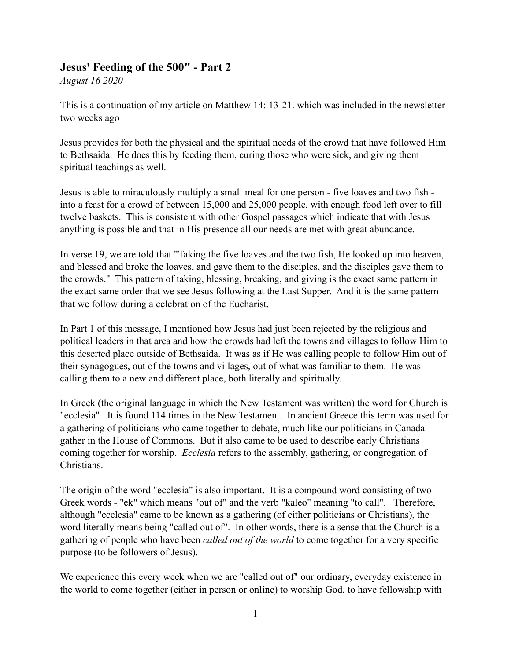## **Jesus' Feeding of the 500" - Part 2**

*August 16 2020*

This is a continuation of my article on Matthew 14: 13-21. which was included in the newsletter two weeks ago

Jesus provides for both the physical and the spiritual needs of the crowd that have followed Him to Bethsaida. He does this by feeding them, curing those who were sick, and giving them spiritual teachings as well.

Jesus is able to miraculously multiply a small meal for one person - five loaves and two fish into a feast for a crowd of between 15,000 and 25,000 people, with enough food left over to fill twelve baskets. This is consistent with other Gospel passages which indicate that with Jesus anything is possible and that in His presence all our needs are met with great abundance.

In verse 19, we are told that "Taking the five loaves and the two fish, He looked up into heaven, and blessed and broke the loaves, and gave them to the disciples, and the disciples gave them to the crowds." This pattern of taking, blessing, breaking, and giving is the exact same pattern in the exact same order that we see Jesus following at the Last Supper. And it is the same pattern that we follow during a celebration of the Eucharist.

In Part 1 of this message, I mentioned how Jesus had just been rejected by the religious and political leaders in that area and how the crowds had left the towns and villages to follow Him to this deserted place outside of Bethsaida. It was as if He was calling people to follow Him out of their synagogues, out of the towns and villages, out of what was familiar to them. He was calling them to a new and different place, both literally and spiritually.

In Greek (the original language in which the New Testament was written) the word for Church is "ecclesia". It is found 114 times in the New Testament. In ancient Greece this term was used for a gathering of politicians who came together to debate, much like our politicians in Canada gather in the House of Commons. But it also came to be used to describe early Christians coming together for worship. *Ecclesia* refers to the assembly, gathering, or congregation of Christians.

The origin of the word "ecclesia" is also important. It is a compound word consisting of two Greek words - "ek" which means "out of" and the verb "kaleo" meaning "to call". Therefore, although "ecclesia" came to be known as a gathering (of either politicians or Christians), the word literally means being "called out of". In other words, there is a sense that the Church is a gathering of people who have been *called out of the world* to come together for a very specific purpose (to be followers of Jesus).

We experience this every week when we are "called out of" our ordinary, everyday existence in the world to come together (either in person or online) to worship God, to have fellowship with